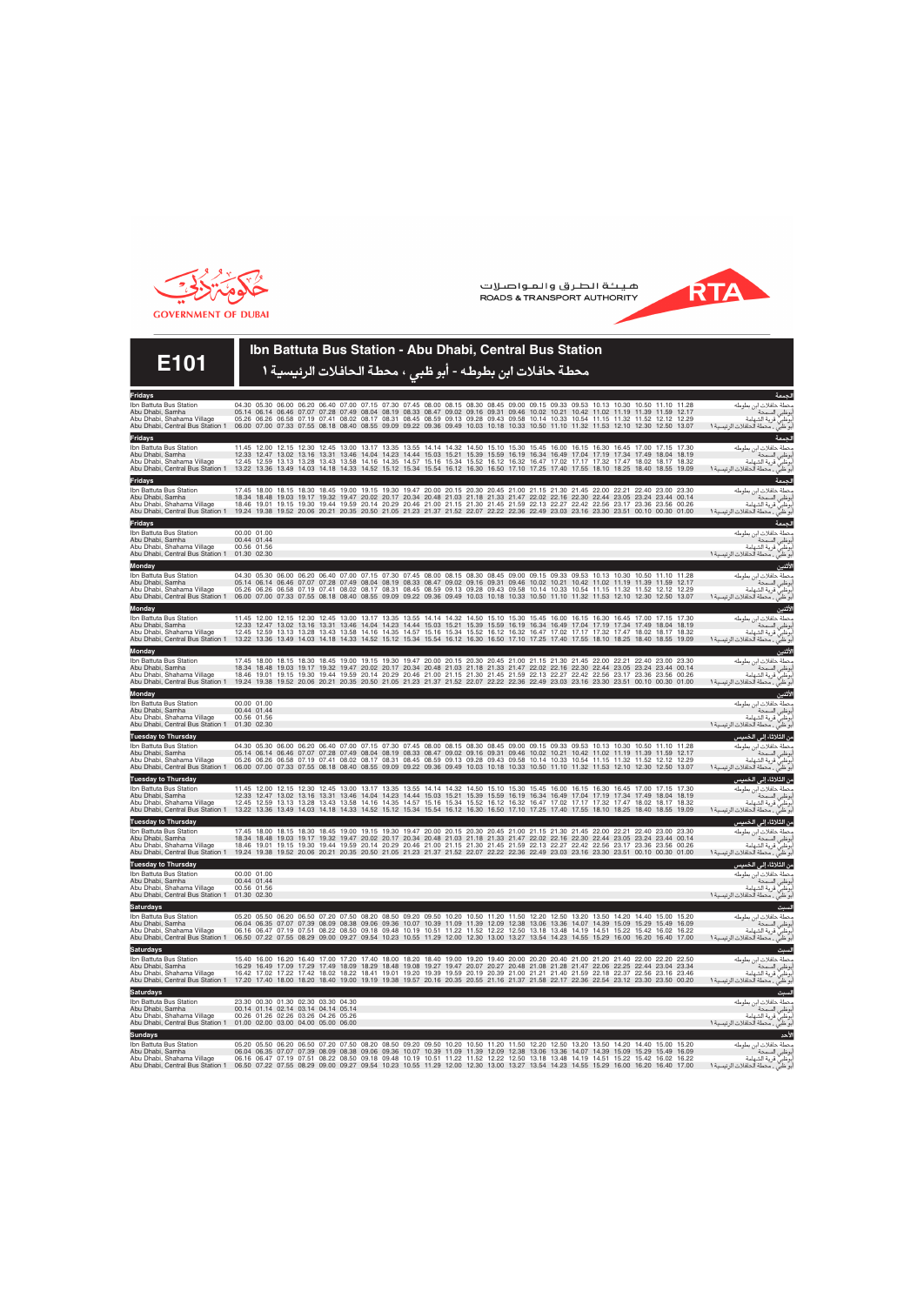

هيئة الطرق والمواصلات ROADS & TRANSPORT AUTHORITY



## **E101**

## **Ibn Battuta Bus Station - Abu Dhabi, Central Bus Station**

## محطة حافلات ابن بطوطه - أبو ظب*ي* ، محطة الحافلات الرئيسية 1

| Fridays                                                                                                                                     |                                                                                                                                     |             |  |                                                                                                                   |  |                                                                                                                                                                                                                                                                                                                                                                                                                                                                                                                                                          |  |  |  |  |  |                   |  |                                                                                                                                              | لجمعة                   |
|---------------------------------------------------------------------------------------------------------------------------------------------|-------------------------------------------------------------------------------------------------------------------------------------|-------------|--|-------------------------------------------------------------------------------------------------------------------|--|----------------------------------------------------------------------------------------------------------------------------------------------------------------------------------------------------------------------------------------------------------------------------------------------------------------------------------------------------------------------------------------------------------------------------------------------------------------------------------------------------------------------------------------------------------|--|--|--|--|--|-------------------|--|----------------------------------------------------------------------------------------------------------------------------------------------|-------------------------|
| Ibn Battuta Bus Station<br>Abu Dhabi, Samha<br>Abu Dhabi, Shahama Village<br>Abu Dhabi, Central Bus Station 1                               | 06.00 07.00 07.33 07.55 08.18 08.40 08.55 09.09 09.22 09.36 09.49 10.03 10.18 10.33 10.50 11.10 11.32 11.53 12.10 12.30 12.50 13.07 |             |  |                                                                                                                   |  | 04.30 05.30 06.00 06.20 06.40 07.00 07.15 07.30 07.45 08.00 08.15 08.30 08.45 09.00 09.15 09.33 09.53 10.13 10.30 10.50 11.10 11.28<br>05.14 06.14 06.46 07.07 07.28 07.49 08.04 08.19 08.33 08.47 09.02 09.16 09.31 09.46 10.02 10.21 10.42 11.02 11.19 11.39 11.59 12.17<br>05.26 06.26 06.58 07.19 07.41 08.02 08.17 08.31 08.45 08.59 09.13 09.28 09.43 09.58 10.14 10.33 10.54 11.15 11.32 11.52 12.12 12.29                                                                                                                                        |  |  |  |  |  |                   |  | محطة حافلات ابن بطوطه<br>أبوظبي السمحة <sup>من .</sup><br>بوظبي قرية الشهامة<br>بو ظبي ، محطة الحافلات الرئيسية ١                            |                         |
| Fridays<br>Ibn Battuta Bus Station<br>Abu Dhabi, Samha<br>Abu Dhabi, Shahama Village<br>Abu Dhabi, Central Bus Station 1                    | 13.22 13.36 13.49 14.03 14.18 14.33 14.52 15.12 15.34 15.54 16.12 16.30 16.50 17.10 17.25 17.40 17.55 18.10 18.25 18.40 18.55 19.09 | 12.45 12.59 |  |                                                                                                                   |  | 11.45 12.00 12.15 12.30 12.45 13.00 13.17 13.35 13.55 14.14 14.32 14.50 15.10 15.30 15.45 16.00 16.15 16.30 16.45 17.00 17.15 17.30<br>12.33 12.47 13.02 13.16 13.31 13.46 14.04 14.23 14.44 15.03 15.21 15.39 15.59 16.19 16.34 16.49 17.04 17.19 17.34 17.49 18.04 18.19<br>13.13 13.28 13.43 13.58 14.16 14.35 14.57 15.16 15.34 15.52 16.12 16.32 16.47 17.02 17.17 17.32 17.47 18.02 18.17 18.32                                                                                                                                                    |  |  |  |  |  |                   |  | محطة حافلات ابن بطوطه<br>.<br>أبوظبي السمحة<br>أبوظبي قرية الشهامة<br>.<br>بو ظبيٌّ ، محطة الحافلات الرئيسية ١                               | الحمعة                  |
| Fridays<br>Ibn Battuta Bus Station<br>Abu Dhabi, Samha<br>Abu Dhabi, Shahama Village<br>Abu Dhabi, Central Bus Station 1                    | 19.24 19.38 19.52 20.06 20.21 20.35 20.50 21.05 21.23 21.37 21.52 22.07 22.22 22.36 22.49 23.03 23.16 23.30 23.51 00.10 00.30 01.00 |             |  |                                                                                                                   |  | 17.45 18.00 18.15 18.30 18.45 19.00 19.15 19.30 19.47 20.00 20.15 20.30 20.45 21.00 21.15 21.30 21.45 22.00 22.21 22.40 23.00 23.30<br>18.34 18.48 19.03 19.17 19.32 19.47 20.02 20.17 20.34 20.48 21.03 21.18 21.33 21.47 22.02 22.16 22.30 22.44 23.05<br>18.46 19.01 19.15 19.30 19.44 19.59 20.14 20.29 20.46 21.00 21.15 21.30 21.45 21.59 22.13 22.27 22.42 22.56 23.17 23.36 23.56 00.26                                                                                                                                                          |  |  |  |  |  | 23.24 23.44 00.14 |  | محطة حافلات ابن بطوطه<br>أبوظبي السمحة ```<br>بوظبي قرية الشهامة<br>بو ظبي ، محطة الحافلات الرئيسية ١                                        | الجمعة                  |
| Fridays<br>Ibn Battuta Bus Station<br>Abu Dhabi, Samha<br>Abu Dhabi, Shahama Village<br>Abu Dhabi, Central Bus Station 1                    | 00.00 01.00<br>00.44 01.44<br>00.56 01.56<br>01.30 02.30                                                                            |             |  |                                                                                                                   |  |                                                                                                                                                                                                                                                                                                                                                                                                                                                                                                                                                          |  |  |  |  |  |                   |  | محطة حافلات ابن بطوطه<br>.<br>أبوظبي السمحة<br>أبوظبي قرية الشهامة<br>أبر ذاب<br>ابو ظبيٍّ ، محطة الحافلات الرئيسية ١                        | الجمعة                  |
| Monday<br>Ibn Battuta Bus Station<br>Abu Dhabi, Samha<br>Abu Dhabi, Shahama Village<br>Abu Dhabi, Central Bus Station 1                     | 06.00 07.00                                                                                                                         |             |  |                                                                                                                   |  | 04.30 05.30 06.00 06.20 06.40 07.00 07.15 07.30 07.45 08.00 08.15 08.30 08.45 09.00 09.15 09.33 09.53 10.13 10.30 10.50 11.10 11.28<br>05.14 06.14 06.46 07.07 07.28 07.49 08.04 08.19 08.33 08.47 09.02 09.16 09.31 09.46 10.02 10.21 10.42 11.02 11.19 11.39 11.59 12.17<br>05.26 06.26 06.58 07.19 07.41 08.02 08.17 08.31 08.45 08.59 09.13 09.28 09.43 09.58 10.14 10.33 10.54 11.15 11.32 11.52 12.12 12.29<br>07.33 07.55 08.18 08.40 08.55 09.09 09.22 09.36 09.49 10.03 10.18 10.33 10.50 11.10 11.32 11.53 12.10 12.30 12.50 13.07             |  |  |  |  |  |                   |  | محطة حافلات ابن بطوطه<br>أبوظبي السمحة <sup>. ب .</sup> .<br>أبوظبي قرية الشهامة<br>بو ظبي ، محطة الحافلات الرئيسية 1                        | الأثنين                 |
| Monday<br>Ibn Battuta Bus Station<br>Abu Dhabi, Samha<br>Abu Dhabi, Shahama Village<br>Abu Dhabi, Central Bus Station 1                     | 13.22 13.36 13.49 14.03 14.18 14.33 14.52 15.12 15.34 15.54 16.12 16.30 16.50 17.10 17.25 17.40 17.55 18.10 18.25 18.40 18.55 19.09 |             |  |                                                                                                                   |  | 11.45 12.00 12.15 12.30 12.45 13.00 13.17 13.35 13.55 14.14 14.32 14.50 15.10 15.30 15.45 16.00 16.15 16.30 16.45 17.00 17.15 17.30<br>12.33 12.47 13.02 13.16 13.31 13.46 14.04 14.23 14.44 15.03 15.21 15.39 15.59 16.19 16.34 16.49 17.04 17.19 17.34 17.49 18.04 18.19<br>12.45 12.59 13.13 13.28 13.43 13.58 14.16 14.35 14.57 15.16 15.34 15.52 16.12 16.32 16.47 17.02 17.17 17.32 17.47 18.02 18.17 18.32                                                                                                                                        |  |  |  |  |  |                   |  | محطة حافلات ابن بطوطه<br>.<br>أبوظبي السمحة<br>.<br>أبوظبي قرية الشهامة<br>أبو ظبي ، محطة الحافلات الرئيسية ١                                | الأثنين                 |
| Monday<br>Ibn Battuta Bus Station<br>Abu Dhabi, Samha<br>Abu Dhabi, Shahama Village<br>Abu Dhabi, Central Bus Station 1                     | 19.24 19.38 19.52 20.06 20.21 20.35 20.50 21.05 21.23 21.37 21.52 22.07 22.22 22.36 22.49 23.03 23.16 23.30 23.51 00.10 00.30 01.00 |             |  |                                                                                                                   |  | 17.45 18.00 18.15 18.30 18.45 19.00 19.15 19.30 19.47 20.00 20.15 20.30 20.45 21.00 21.15 21.30 21.45 22.00 22.21 22.40 23.00 23.30<br>18.34 18.48 19.03 19.17 19.32 19.47 20.02 20.17 20.34 20.48 21.03 21.18 21.33 21.47 22.02 22.16 22.30 22.44 23.05 23.24 23.44 00.14<br>18.46 19.01 19.15 19.30 19.44 19.59 20.14 20.29 20.46 21.00 21.15 21.30 21.45 21.59 22.13 22.27 22.42 22.56 23.17 23.36 23.56 00.26                                                                                                                                        |  |  |  |  |  |                   |  | محطة حافلات ابن بطوطه<br>أبوظبي السمحة .<br>بوظبي قرية الشهامة<br>بوظبي قرية الشهامة                                                         | الأثنين                 |
| Monday<br>Ibn Battuta Bus Station<br>Abu Dhabi, Samha<br>Abu Dhabi, Shahama Village<br>Abu Dhabi, Central Bus Station 1                     | 00.00 01.00<br>00.44 01.44<br>00.56 01.56<br>01.30 02.30                                                                            |             |  |                                                                                                                   |  |                                                                                                                                                                                                                                                                                                                                                                                                                                                                                                                                                          |  |  |  |  |  |                   |  | محطة حافلات ابن بطوطه<br>.<br>إبوظبي قرية الشهامة<br>.<br>.<br>أبو ظبي ، محطة الحافلات الرئيسية ١                                            | الأثنين<br>بوظبي السمحة |
| <b>Tuesday to Thursday</b><br>Ibn Battuta Bus Station<br>Abu Dhabi, Samha<br>Abu Dhabi, Shahama Village<br>Abu Dhabi, Central Bus Station 1 |                                                                                                                                     |             |  |                                                                                                                   |  | 04.30 05.30 06.00 06.20 06.40 07.00 07.15 07.30 07.45 08.00 08.15 08.30 08.45 09.00 09.15 09.33 09.53 10.13 10.30 10.50 11.10 11.28<br>05.14 06.14 06.46 07.07 07.28 07.49 08.04 08.19 08.33 08.47 09.02 09.16 09.31 09.46 10.02 10.21 10.42 11.02 11.19 11.39 11.59 12.17<br>05.26 06.26 06.58 07.19 07.41 08.02 08.17 08.31 08.45 08.59 09.13 09.28 09.43 09.58 10.14 10.33 10.54 11.15 11.32 11.52 12.12 12.29<br>06.00 07.00 07.33 07.55 08.18 08.40 08.55 09.09 09.22 09.36 09.49 10.03 10.18 10.33 10.50 11.10 11.32 11.53 12.10 12.30 12.50 13.07 |  |  |  |  |  |                   |  | من الثلاثاء إل <i>ى</i> الخميس<br>محطة حافلات ابن بطوطه<br>بوظبي السمحة<br>إبوظبي قرية الشهامة<br>ابو ظبيٍّ ، محطة الحافلات الرئيسية ١       |                         |
| <b>Tuesday to Thursday</b><br>Ibn Battuta Bus Station<br>Abu Dhabi, Samha<br>Abu Dhabi, Shahama Village<br>Abu Dhabi, Central Bus Station 1 | 13.22 13.36 13.49 14.03 14.18 14.33 14.52 15.12 15.34 15.54 16.12 16.30 16.50 17.10 17.25 17.40 17.55 18.10 18.25 18.40 18.55 19.09 |             |  |                                                                                                                   |  | 11.45 12.00 12.15 12.30 12.45 13.00 13.17 13.35 13.55 14.14 14.32 14.50 15.10 15.30 15.45 16.00 16.15 16.30 16.45 17.00 17.15 17.30<br>12.33 12.47 13.02 13.16 13.31 13.46 14.04 14.23 14.44 15.03 15.21 15.39 15.59 16.19 16.34 16.49 17.04 17.19 17.34 17.49 18.04 18.19<br>12.45 12.59 13.13 13.28 13.43 13.58 14.16 14.35 14.57 15.16 15.34 15.52 16.12 16.32 16.47 17.02 17.17 17.32 17.47 18.02 18.17 18.32                                                                                                                                        |  |  |  |  |  |                   |  | من الثّلاثاء إل <i>ى</i> الخميس<br>محطة حافلات ابن بطوطه<br>بوظبى السمحة<br>أبوظبي قرية الشهامة<br>أبوّ ظبي , محطة الحافلات الرئيسية ١       |                         |
| <b>Tuesday to Thursday</b><br>Ibn Battuta Bus Station<br>Abu Dhabi, Samha<br>Abu Dhabi, Shahama Village<br>Abu Dhabi, Central Bus Station 1 | 19.24 19.38 19.52 20.06 20.21 20.35 20.50 21.05 21.23 21.37 21.52 22.07 22.22 22.36 22.49 23.03 23.16 23.30 23.51 00.10 00.30 01.00 |             |  |                                                                                                                   |  | 17.45 18.00 18.15 18.30 18.45 19.00 19.15 19.30 19.47 20.00 20.15 20.30 20.45 21.00 21.15 21.30 21.45 22.00 22.21 22.40 23.00 23.30<br>18.34 18.48 19.03 19.17 19.32 19.47 20.02 20.17 20.34 20.48 21.03 21.18 21.33 21.47 22.02 22.16 22.30 22.44 23.05 23.24 23.44 00.14<br>18.46 19.01 19.15 19.30 19.44 19.59 20.14 20.29 20.46 21.00 21.15 21.30 21.45 21.59 22.13 22.27 22.42 22.56 23.17 23.36 23.56 00.26                                                                                                                                        |  |  |  |  |  |                   |  | من الثلاثاء إل <i>ى</i> الخميس<br>محطة حافلات ابن بطوطه<br>أبوظبي السمحة<br>أبوظبي قرية الشهامة<br>.<br>ابو ظبيٍّ ، محطة الحافلات الرئيسية ١ |                         |
| <b>Tuesday to Thursday</b><br>Ibn Battuta Bus Station<br>Abu Dhabi, Samha<br>Abu Dhabi, Shahama Village<br>Abu Dhabi, Central Bus Station 1 | 00.00 01.00<br>00.44 01.44<br>00.56 01.56<br>01.30 02.30                                                                            |             |  |                                                                                                                   |  |                                                                                                                                                                                                                                                                                                                                                                                                                                                                                                                                                          |  |  |  |  |  |                   |  | من الثلاثاء إل <i>ى</i> الخميس<br>محطة حافلات ابن بطوطه<br>بوظبي السمحة<br>أبوظبي قرية الشهامة<br>أبو ظبيٌّ ، محطة الحافلات الرئيسية ١       |                         |
| Saturdays<br>Ibn Battuta Bus Station<br>Abu Dhabi, Samha<br>Abu Dhabi, Shahama Village<br>Abu Dhabi, Central Bus Station 1                  | 06.50 07.22 07.55 08.29 09.00 09.27 09.54 10.23 10.55 11.29 12.00 12.30 13.00 13.27 13.54 14.23 14.55 15.29 16.00 16.20 16.40 17.00 |             |  |                                                                                                                   |  | 05.20 05.50 06.20 06.50 07.20 07.50 08.20 08.50 09.20 09.50 10.20 10.50 11.20 11.50 12.20 12.50 13.20 13.50 14.20 14.40 15.00 15.20<br>06.04 06.35 07.07 07.39 08.09 08.38 09.06 09.36 10.07 10.39 11.09 11.39 12.09 12.38 13.06 13.36 14.07 14.39 15.09 15.29 15.49 16.09<br>06.16 06.47 07.19 07.51 08.22 08.50 09.18 09.48 10.19 10.51 11.22 11.52 12.22 12.50 13.18 13.48 14.19 14.51 15.22 15.42 16.02 16.22                                                                                                                                        |  |  |  |  |  |                   |  | محطة حافلات ابن بطوطه<br>.<br>أبوظبي السمحة<br>أبوظبي قرية الشهامة<br>أبوّ ظبي , محطة الحافلات الرئيسية ١                                    | السبت                   |
| Saturdays<br>Ibn Battuta Bus Station<br>Abu Dhabi, Samha<br>Abu Dhabi, Shahama Village<br>Abu Dhabi, Central Bus Station 1                  | 17.20 17.40 18.00 18.20 18.40 19.00 19.19 19.38 19.57 20.16 20.35 20.55 21.16 21.37 21.58 22.17 22.36 22.54 23.12 23.30 23.50 00.20 |             |  |                                                                                                                   |  | 15.40 16.00 16.20 16.40 17.00 17.20 17.40 18.00 18.20 18.40 19.00 19.20 19.40 20.00 20.20 20.40 21.00 21.20 21.40 22.00 22.20 22.50<br>16.29 16.49 17.09 17.29 17.49 18.09 18.29 18.48 19.08 19.27 19.47 20.07 20.27 20.48 21.08 21.28 21.47 22.06 22.25 22.44 23.04 23.34<br>16.42 17.02 17.22 17.42 18.02 18.22 18.41 19.01 19.20 19.39 19.59 20.19 20.39 21.00 21.21 21.40 21.59 22.18 22.37 22.56 23.16 23.46                                                                                                                                        |  |  |  |  |  |                   |  | محطة حافلات ابن بطوطه<br>.<br>أبوظبي السمحة<br>أبوظبي قرية الشهامة<br>أبوّ ظبي ، محطة الحافلات الرئيسية ١                                    | السبت                   |
| Saturdays<br>Ibn Battuta Bus Station<br>Abu Dhabi, Samha<br>Abu Dhabi, Shahama Village<br>Abu Dhabi, Central Bus Station 1                  | 01.00 02.00 03.00 04.00 05.00 06.00                                                                                                 |             |  | 23.30 00.30 01.30 02.30 03.30 04.30<br>00.14 01.14 02.14 03.14 04.14 05.14<br>00.26 01.26 02.26 03.26 04.26 05.26 |  |                                                                                                                                                                                                                                                                                                                                                                                                                                                                                                                                                          |  |  |  |  |  |                   |  | محطة حافلات ابن بطوطه<br>.<br>أبوظبي السمحة<br>أبوظبي قرية الشهامة<br>بو ظبيٍّ ، محطة الحافلات الرئيسية ١                                    | السبت                   |
| Sundays<br>Ibn Battuta Bus Station<br>Abu Dhabi, Samha<br>Abu Dhabi, Shahama Village<br>Abu Dhabi, Central Bus Station 1                    | 06.50 07.22 07.55 08.29 09.00 09.27 09.54 10.23 10.55 11.29 12.00 12.30 13.00 13.27 13.54 14.23 14.55 15.29 16.00 16.20 16.40 17.00 |             |  |                                                                                                                   |  | 05.20 05.50 06.20 06.50 07.20 07.50 08.20 08.50 09.20 09.50 10.20 10.50 11.20 11.50 12.20 12.50 13.20 13.50 14.20 14.40 15.00 15.20<br>06.04 06.35 07.07 07.39 08.09 08.38 09.06 09.36 10.07 10.39 11.09 11.39 12.09 12.38 13.06 13.36 14.07 14.39 15.09 15.29 15.49 16.09<br>06.16 06.47 07.19 07.51 08.22 08.50 09.18 09.48 10.19 10.51 11.22 11.52 12.22 12.50 13.18 13.48 14.19 14.51 15.22 15.42 16.02 16.22                                                                                                                                        |  |  |  |  |  |                   |  | محطة حافلات ابن بطوطه<br>.<br>أبوظبي السمحة .<br>بوظبي قرية الشهامة<br>بو ظبي ، محطة الحافلات الرئيسية ١                                     | الأحد                   |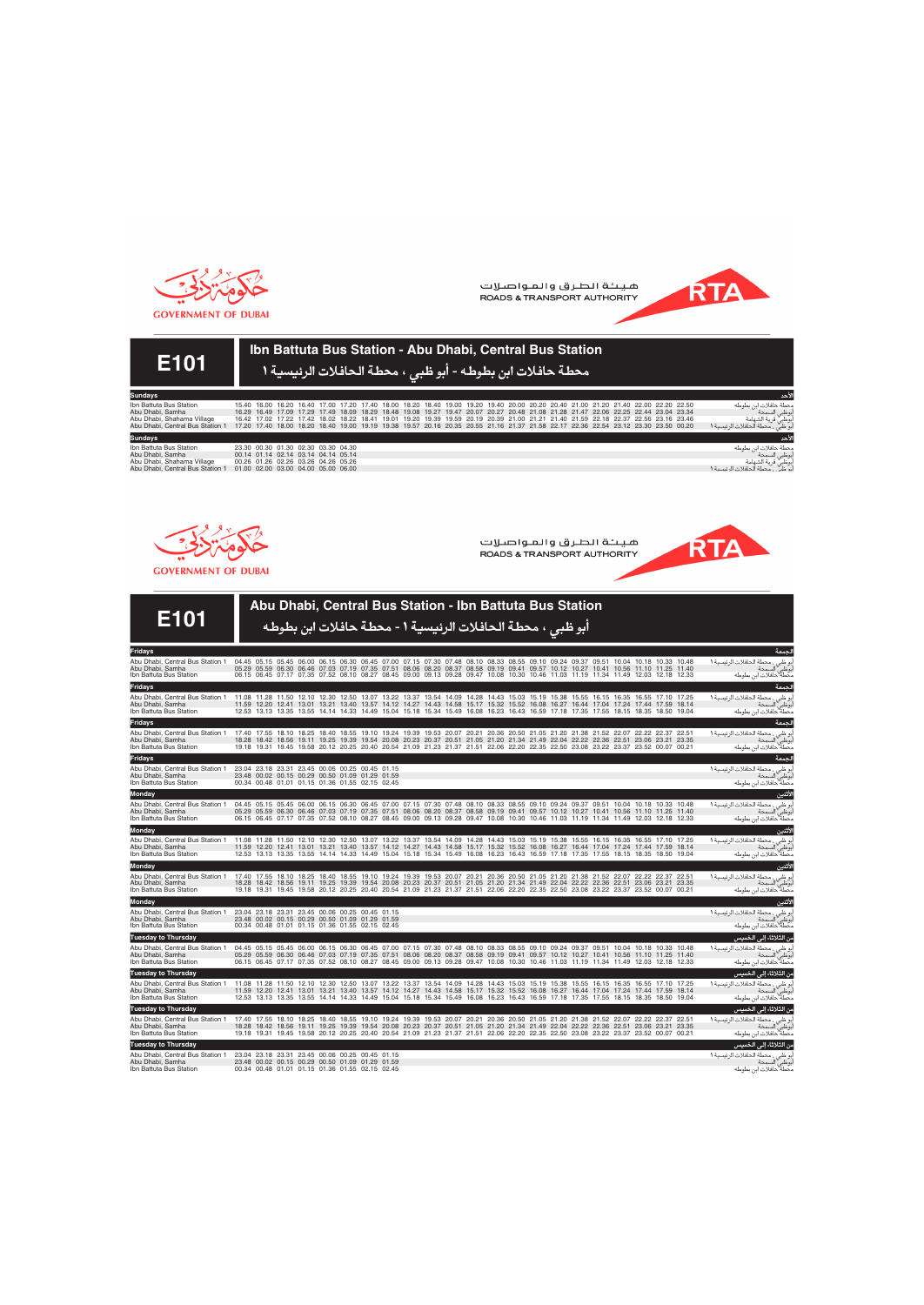

هيئة الطرق والمواصلات **ROADS & TRANSPORT AUTHORITY** 



**RTA** 

# **E101**

### **Ibn Battuta Bus Station - Abu Dhabi, Central Bus Station** محطة حافلات ابن بطوطه - أبو ظب*ي* ، محطة الحافلات الرئيسية 1

| <b>Sundays</b>                   |                                                                                                                                     |  |                                     |  |  |  |  |  |  |                                                                                                                                     |  |  |                                                                | الأحد         |
|----------------------------------|-------------------------------------------------------------------------------------------------------------------------------------|--|-------------------------------------|--|--|--|--|--|--|-------------------------------------------------------------------------------------------------------------------------------------|--|--|----------------------------------------------------------------|---------------|
| Ibn Battuta Bus Station          |                                                                                                                                     |  |                                     |  |  |  |  |  |  | 15.40 16.00 16.20 16.40 17.00 17.20 17.40 18.00 18.20 18.40 19.00 19.20 19.40 20.00 20.20 20.40 21.00 21.20 21.40 22.00 22.20 22.50 |  |  | محطة حافلات ابن بطوطه                                          |               |
| Abu Dhabi, Samha                 |                                                                                                                                     |  |                                     |  |  |  |  |  |  | 16.29 16.49 17.09 17.29 17.49 18.09 18.29 18.48 19.08 19.27 19.47 20.07 20.27 20.48 21.08 21.28 21.47 22.06 22.25 22.44 23.04 23.34 |  |  |                                                                | أبوظبي السمحة |
| Abu Dhabi, Shahama Village       |                                                                                                                                     |  |                                     |  |  |  |  |  |  | 16.42 17.02 17.22 17.42 18.02 18.22 18.41 19.01 19.20 19.39 19.59 20.19 20.39 21.00 21.21 21.40 21.59 22.18 22.37 22.56 23.16 23.46 |  |  |                                                                |               |
| Abu Dhabi, Central Bus Station 1 | 17.20 17.40 18.00 18.20 18.40 19.00 19.19 19.38 19.57 20.16 20.35 20.55 21.16 21.37 21.58 22.17 22.36 22.54 23.12 23.30 23.50 00.20 |  |                                     |  |  |  |  |  |  |                                                                                                                                     |  |  | .<br>أبوظبي قرية الشهامة<br>أبو ظبي ، محطة الحافلات الرئيسية ١ |               |
| <b>Sundays</b>                   |                                                                                                                                     |  |                                     |  |  |  |  |  |  |                                                                                                                                     |  |  |                                                                | للأحد         |
| Ibn Battuta Bus Station          |                                                                                                                                     |  | 23.30 00.30 01.30 02.30 03.30 04.30 |  |  |  |  |  |  |                                                                                                                                     |  |  | محطة حافلات ابن بطوطه                                          |               |
| Abu Dhabi, Samha                 |                                                                                                                                     |  | 00.14 01.14 02.14 03.14 04.14 05.14 |  |  |  |  |  |  |                                                                                                                                     |  |  |                                                                | أبوظبي السمحة |
| Abu Dhabi, Shahama Village       |                                                                                                                                     |  | 00.26 01.26 02.26 03.26 04.26 05.26 |  |  |  |  |  |  |                                                                                                                                     |  |  | .<br>أبوظبي قرية الشهامة<br>أبو ظبي ، محطة الحافلات الرئيسية ١ |               |
| Abu Dhabi, Central Bus Station 1 | 01.00 02.00 03.00 04.00 05.00 06.00                                                                                                 |  |                                     |  |  |  |  |  |  |                                                                                                                                     |  |  |                                                                |               |



هيئة الطرق والمواصلات ROADS & TRANSPORT AUTHORITY

**GOVERNMENT OF DUBAI** 

|                                                                                                                                                                                                                                           |  |  |                                                                                                                                                       |  |  |  |  |  | Abu Dhabi, Central Bus Station - Ibn Battuta Bus Station                                                                                                                                                                                                                                                                                                                                                          |  |  |  |                                                                                                      |         |
|-------------------------------------------------------------------------------------------------------------------------------------------------------------------------------------------------------------------------------------------|--|--|-------------------------------------------------------------------------------------------------------------------------------------------------------|--|--|--|--|--|-------------------------------------------------------------------------------------------------------------------------------------------------------------------------------------------------------------------------------------------------------------------------------------------------------------------------------------------------------------------------------------------------------------------|--|--|--|------------------------------------------------------------------------------------------------------|---------|
| E101                                                                                                                                                                                                                                      |  |  | أبو ظبي ، محطة الحافلات الرئيسية ١ - محطة حافلات ابن بطوطه                                                                                            |  |  |  |  |  |                                                                                                                                                                                                                                                                                                                                                                                                                   |  |  |  |                                                                                                      |         |
| <b>Fridays</b>                                                                                                                                                                                                                            |  |  |                                                                                                                                                       |  |  |  |  |  |                                                                                                                                                                                                                                                                                                                                                                                                                   |  |  |  |                                                                                                      | الحمعة  |
| Abu Dhabi, Central Bus Station 1<br>Abu Dhabi, Samha<br>Ibn Battuta Bus Station                                                                                                                                                           |  |  |                                                                                                                                                       |  |  |  |  |  | 04.45 05.15 05.45 06.00 06.15 06.30 06.45 07.00 07.15 07.30 07.48 08.10 08.33 08.55 09.10 09.24 09.37 09.51 10.04 10.18 10.33 10.48<br>05.29 05.59 06.30 06.46 07.03 07.19 07.35 07.51 08.06 08.20 08.37 08.58 09.19 09.41 09.57 10.12 10.27 10.41 10.56 11.10 11.25 11.40<br>06.15 06.45 07.17 07.35 07.52 08.10 08.27 08.45 09.00 09.13 09.28 09.47 10.08 10.30 10.46 11.03 11.19 11.34 11.49 12.03 12.18 12.33 |  |  |  | بو ظبي ، محطة الحافلات الرئيسية 1<br>بوظبي السمحة<br>محطة ۖحافلات ابن بطوطه                          |         |
| Fridays                                                                                                                                                                                                                                   |  |  |                                                                                                                                                       |  |  |  |  |  |                                                                                                                                                                                                                                                                                                                                                                                                                   |  |  |  |                                                                                                      | الحمعة  |
| Abu Dhabi, Central Bus Station 1  11.08  11.28  11.50  12.10  12.30  12.50  13.07  13.22  13.37  13.54  14.09  14.28  14.43  15.03  15.19  15.38  15.55  16.15  16.35  16.55  17.10  17.25<br>Abu Dhabi, Samha<br>Ibn Battuta Bus Station |  |  |                                                                                                                                                       |  |  |  |  |  | 11.59 12.20 12.41 13.01 13.21 13.40 13.57 14.12 14.27 14.43 14.58 15.17 15.32 15.52 16.08 16.27 16.44 17.04 17.24 17.44 17.59 18.14<br>12.53 13.13 13.35 13.55 14.14 14.33 14.49 15.04 15.18 15.34 15.49 16.08 16.23 16.43 16.59 17.18 17.35 17.55 18.15 18.35 18.50 19.04                                                                                                                                        |  |  |  | لبو ظبي ، محطة الحافلات الرئيسية 1<br>لبوظبي السمحة<br>محطة حافلات ابن بطوطه                         |         |
| <b>Fridays</b>                                                                                                                                                                                                                            |  |  |                                                                                                                                                       |  |  |  |  |  |                                                                                                                                                                                                                                                                                                                                                                                                                   |  |  |  |                                                                                                      | الحمعة  |
| Abu Dhabi, Central Bus Station 1 17.40 17.55 18.10 18.25 18.40 18.55 19.10 19.24 19.39 19.53 20.07 20.21 20.36 20.50 21.05 21.09 21.38 21.52 22.07 22.22 22.37 22.51<br>Abu Dhabi, Samha<br>Ibn Battuta Bus Station                       |  |  |                                                                                                                                                       |  |  |  |  |  | 18.28 18.42 18.56 19.11 19.25 19.39 19.54 20.08 20.23 20.37 20.51 21.05 21.20 21.34 21.49 22.04 22.22 22.36 22.51 23.06 23.21 23.35<br>19.18 19.31 19.45 19.58 20.12 20.25 20.40 20.54 21.09 21.23 21.37 21.51 22.06 22.20 22.35 22.50 23.08 23.22 23.37 23.52 00.07 00.21                                                                                                                                        |  |  |  | لبو ظبي ، محطة الحافلات الرئيسية ١<br>لبوظبي السمحة<br>محطة"حافلات ابن بطوطه                         |         |
| <b>Fridays</b>                                                                                                                                                                                                                            |  |  |                                                                                                                                                       |  |  |  |  |  |                                                                                                                                                                                                                                                                                                                                                                                                                   |  |  |  |                                                                                                      | الجمعة  |
| Abu Dhabi, Central Bus Station 1<br>Abu Dhabi, Samha<br>Ibn Battuta Bus Station                                                                                                                                                           |  |  | 23.04 23.18 23.31 23.45 00.06 00.25 00.45 01.15<br>23.48 00.02 00.15 00.29 00.50 01.09 01.29 01.59<br>00.34 00.48 01.01 01.15 01.36 01.55 02.15 02.45 |  |  |  |  |  |                                                                                                                                                                                                                                                                                                                                                                                                                   |  |  |  | .<br>أبو ظبي ، محطة الحافلات الرئيسية ١<br>أبوظبي السمحة<br>محطة حافلات ابن بطوطه                    |         |
| Monday                                                                                                                                                                                                                                    |  |  |                                                                                                                                                       |  |  |  |  |  |                                                                                                                                                                                                                                                                                                                                                                                                                   |  |  |  |                                                                                                      | الأثنين |
| Abu Dhabi, Central Bus Station 1<br>Abu Dhabi, Samha<br>Ibn Battuta Bus Station                                                                                                                                                           |  |  |                                                                                                                                                       |  |  |  |  |  | 04.45 05.15 05.45 06.00 06.15 06.30 06.45 07.00 07.15 07.30 07.48 08.10 08.33 08.55 09.10 09.24 09.37 09.51 10.04 10.18 10.33 10.48<br>05.29 05.59 06.30 06.46 07.03 07.19 07.35 07.51 08.06 08.20 08.37 08.58 09.19 09.41 09.57 10.12 10.27 10.41 10.56 11.10 11.25 11.40<br>06.15 06.45 07.17 07.35 07.52 08.10 08.27 08.45 09.00 09.13 09.28 09.47 10.08 10.30 10.46 11.03 11.19 11.34 11.49 12.03 12.18 12.33 |  |  |  | أبو ظبي ، محطة الحافلات الرئيسية ١<br>أبوظبي السمحة<br>أبوظبي النافسا<br>محطة حافلات ابن بطوطه       |         |
| Monday                                                                                                                                                                                                                                    |  |  |                                                                                                                                                       |  |  |  |  |  |                                                                                                                                                                                                                                                                                                                                                                                                                   |  |  |  |                                                                                                      | الأثنين |
| Abu Dhabi, Central Bus Station 1 11.08 11.28 11.50 12.10 12.30 12.50 13.07 13.22 13.37 13.54 14.09 14.28 14.43 15.03 15.19 15.38 15.55 16.15 16.35 16.55 17.10 17.25<br>Abu Dhabi. Samha<br>Ibn Battuta Bus Station                       |  |  |                                                                                                                                                       |  |  |  |  |  | 11.59 12.20 12.41 13.01 13.21 13.40 13.57 14.12 14.27 14.43 14.58 15.17 15.32 15.52 16.08 16.27 16.44 17.04 17.24 17.44 17.59 18.14<br>12.53 13.13 13.35 13.55 14.14 14.33 14.49 15.04 15.18 15.34 15.49 16.08 16.23 16.43 16.59 17.18 17.35 17.55 18.15 18.35 18.50 19.04                                                                                                                                        |  |  |  | أبو ظبي ، محطة الحافلات الرئيسية 1<br>أبوظبي السمحة<br>أبوظبي النادحة<br>محطة ۖحافلات ابن بطوطه      |         |
| Monday                                                                                                                                                                                                                                    |  |  |                                                                                                                                                       |  |  |  |  |  |                                                                                                                                                                                                                                                                                                                                                                                                                   |  |  |  |                                                                                                      | الأثنين |
| Abu Dhabi, Central Bus Station 1 17.40 17.55 18.10 18.25 18.40 18.55 19.10 19.24 19.39 19.53 20.07 20.21 20.36 20.50 21.05 21.20 21.38 21.52 22.07 22.22 22.37 22.51<br>Abu Dhabi, Samha<br>Ibn Battuta Bus Station                       |  |  |                                                                                                                                                       |  |  |  |  |  | 18.28 18.42 18.56 19.11 19.25 19.39 19.54 20.08 20.23 20.37 20.51 21.05 21.20 21.34 21.49 22.04 22.22 22.36 22.51 23.06 23.21 23.35<br>19.18 19.31 19.45 19.58 20.12 20.25 20.40 20.54 21.09 21.23 21.37 21.51 22.06 22.20 22.35 22.50 23.08 23.22 23.37 23.52 00.07 00.21                                                                                                                                        |  |  |  | أبو ظبي ، محطة الحافلات الرئيسية ١<br>أبوظبي السمحة<br>- : : : : : : : - .<br>محطة ۖحافلات ابن بطوطه |         |
| <b>Monday</b>                                                                                                                                                                                                                             |  |  |                                                                                                                                                       |  |  |  |  |  |                                                                                                                                                                                                                                                                                                                                                                                                                   |  |  |  |                                                                                                      | الأثنين |
| Abu Dhabi, Central Bus Station 1<br>Abu Dhabi, Samha<br>Ibn Battuta Bus Station                                                                                                                                                           |  |  | 23.04 23.18 23.31 23.45 00.06 00.25 00.45 01.15<br>23.48 00.02 00.15 00.29 00.50 01.09 01.29 01.59<br>00.34 00.48 01.01 01.15 01.36 01.55 02.15 02.45 |  |  |  |  |  |                                                                                                                                                                                                                                                                                                                                                                                                                   |  |  |  | .<br>أبو ظبي ، محطة الحافلات الرئيسية 1<br>أبوظبي السمحة<br>محطة ّحافلات ابن بطوطه                   |         |
| Tuesday to Thursday                                                                                                                                                                                                                       |  |  |                                                                                                                                                       |  |  |  |  |  |                                                                                                                                                                                                                                                                                                                                                                                                                   |  |  |  | من الثلاثاء إلى الخميس                                                                               |         |
| Abu Dhabi. Central Bus Station 1<br>Abu Dhabi, Samha<br>Ibn Battuta Bus Station                                                                                                                                                           |  |  |                                                                                                                                                       |  |  |  |  |  | 04.45 05.15 05.45 06.00 06.15 06.30 06.45 07.00 07.15 07.30 07.48 08.10 08.33 08.55 09.10 09.24 09.37 09.51 10.04 10.18 10.33 10.48<br>05.29 05.59 06.30 06.46 07.03 07.19 07.35 07.51 08.06 08.20 08.37 08.58 09.19 09.41 09.57 10.12 10.27 10.41 10.56 11.10 11.25 11.40<br>06.15 06.45 07.17 07.35 07.52 08.10 08.27 08.45 09.00 09.13 09.28 09.47 10.08 10.30 10.46 11.03 11.19 11.34 11.49 12.03 12.18 12.33 |  |  |  | .<br>أبو ظبي ، محطة الحافلات الرئيسية ١<br>بوظبي السمحة<br>محطة ۖحافلات ابن بطوطه                    |         |
| <b>Tuesday to Thursday</b>                                                                                                                                                                                                                |  |  |                                                                                                                                                       |  |  |  |  |  |                                                                                                                                                                                                                                                                                                                                                                                                                   |  |  |  | من الثلاثاء إلى الخميس                                                                               |         |
| Abu Dhabi, Central Bus Station 1 11.08 11.28 11.50 12.10 12.30 12.50 13.07 13.22 13.37 13.54 14.09 14.28 14.43 15.03 15.19 15.38 15.55 16.15 16.35 16.55 17.10 17.25<br>Abu Dhabi, Samha<br>Ibn Battuta Bus Station                       |  |  |                                                                                                                                                       |  |  |  |  |  | 11.59 12.20 12.41 13.01 13.21 13.40 13.57 14.12 14.27 14.43 14.58 15.17 15.32 15.52 16.08 16.27 16.44 17.04 17.24 17.44 17.59 18.14<br>12.53 13.13 13.35 13.55 14.14 14.33 14.49 15.04 15.18 15.34 15.49 16.08 16.23 16.43 16.59 17.18 17.35 17.55 18.15 18.35 18.50 19.04                                                                                                                                        |  |  |  | .<br>أبو ظبي ، محطة الحافلات الرئيسية ١<br>أبوظبي السمحة<br>محطة حافلات ابن بطوطه                    |         |
| Tuesday to Thursday                                                                                                                                                                                                                       |  |  |                                                                                                                                                       |  |  |  |  |  |                                                                                                                                                                                                                                                                                                                                                                                                                   |  |  |  | م <u>ن الث</u> لاثاء إلى الخميس                                                                      |         |
| Abu Dhabi, Central Bus Station 1   17.40  17.55 18.10 18.25 18.40 18.55 19.10 19.24 19.39 19.53 20.07 20.21 20.36 20.50 21.05 21.20 21.38 21.52 22.07 22.22 22.37 22.51<br>Abu Dhabi. Samha<br>Ibn Battuta Bus Station                    |  |  |                                                                                                                                                       |  |  |  |  |  | 18.28 18.42 18.56 19.11 19.25 19.39 19.54 20.08 20.23 20.37 20.51 21.05 21.20 21.34 21.49 22.04 22.22 22.36 22.51 23.06 23.21 23.35<br>19.18 19.31 19.45 19.58 20.12 20.25 20.40 20.54 21.09 21.23 21.37 21.51 22.06 22.20 22.35 22.50 23.08 23.22 23.37 23.52 00.07 00.21                                                                                                                                        |  |  |  | لبو ظبي ، محطة الحافلات الرئيسية ١<br>لبوظبي السمحة<br>محطة حافلات ابن بطوطه                         |         |
| <b>Tuesday to Thursday</b>                                                                                                                                                                                                                |  |  |                                                                                                                                                       |  |  |  |  |  |                                                                                                                                                                                                                                                                                                                                                                                                                   |  |  |  | من الثلاثاء إلى الخميس                                                                               |         |
| Abu Dhabi, Central Bus Station 1  23.04  23.18  23.31  23.45  00.06  00.25  00.45  01.15<br>Abu Dhabi, Samha<br>Ibn Battuta Bus Station                                                                                                   |  |  | 23.48 00.02 00.15 00.29 00.50 01.09 01.29 01.59<br>00.34 00.48 01.01 01.15 01.36 01.55 02.15 02.45                                                    |  |  |  |  |  |                                                                                                                                                                                                                                                                                                                                                                                                                   |  |  |  | لبو ظبي ، محطة الحافلات الرئيسية ١<br>لبوظبي السمحة<br>محطة حافلات ابن بطوطه                         |         |